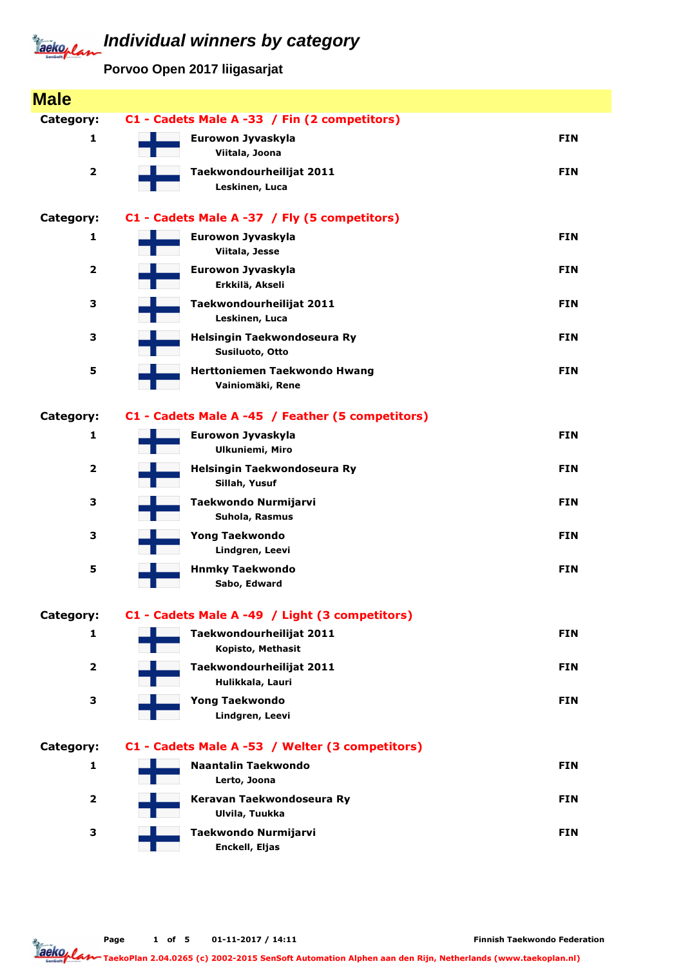## **Individual winners by category** Jackeplan

**Porvoo Open 2017 liigasarjat**

| <b>Male</b>             |                                                  |            |
|-------------------------|--------------------------------------------------|------------|
| Category:               | C1 - Cadets Male A -33 / Fin (2 competitors)     |            |
| 1                       | Eurowon Jyvaskyla<br>Viitala, Joona              | <b>FIN</b> |
| $\overline{\mathbf{2}}$ | Taekwondourheilijat 2011<br>Leskinen, Luca       | <b>FIN</b> |
| Category:               | C1 - Cadets Male A -37 / Fly (5 competitors)     |            |
| 1                       | Eurowon Jyvaskyla<br>Viitala, Jesse              | <b>FIN</b> |
| 2                       | Eurowon Jyvaskyla<br>Erkkilä, Akseli             | <b>FIN</b> |
| З                       | Taekwondourheilijat 2011<br>Leskinen, Luca       | <b>FIN</b> |
| 3                       | Helsingin Taekwondoseura Ry<br>Susiluoto, Otto   | <b>FIN</b> |
| 5                       | Herttoniemen Taekwondo Hwang<br>Vainiomäki, Rene | <b>FIN</b> |
| Category:               | C1 - Cadets Male A -45 / Feather (5 competitors) |            |
| 1                       | Eurowon Jyvaskyla<br><b>Ulkuniemi, Miro</b>      | <b>FIN</b> |
| $\overline{\mathbf{2}}$ | Helsingin Taekwondoseura Ry<br>Sillah, Yusuf     | <b>FIN</b> |
| З                       | Taekwondo Nurmijarvi<br>Suhola, Rasmus           | <b>FIN</b> |
| 3                       | <b>Yong Taekwondo</b><br>Lindgren, Leevi         | <b>FIN</b> |
| 5                       | <b>Hnmky Taekwondo</b><br>Sabo, Edward           | <b>FIN</b> |
| Category:               | C1 - Cadets Male A -49 / Light (3 competitors)   |            |
| 1                       | Taekwondourheilijat 2011<br>Kopisto, Methasit    | <b>FIN</b> |
| $\overline{\mathbf{2}}$ | Taekwondourheilijat 2011<br>Hulikkala, Lauri     | <b>FIN</b> |
| З                       | <b>Yong Taekwondo</b><br>Lindgren, Leevi         | <b>FIN</b> |
| Category:               | C1 - Cadets Male A -53 / Welter (3 competitors)  |            |
| 1                       | <b>Naantalin Taekwondo</b><br>Lerto, Joona       | <b>FIN</b> |
| $\overline{\mathbf{2}}$ | Keravan Taekwondoseura Ry<br>Ulvila, Tuukka      | <b>FIN</b> |
| 3                       | Taekwondo Nurmijarvi<br>Enckell, Eljas           | <b>FIN</b> |

Taekoplan

TaekoPlan 2.04.0265 (c) 2002-2015 SenSoft Automation Alphen aan den Rijn, Netherlands (www.taekoplan.nl)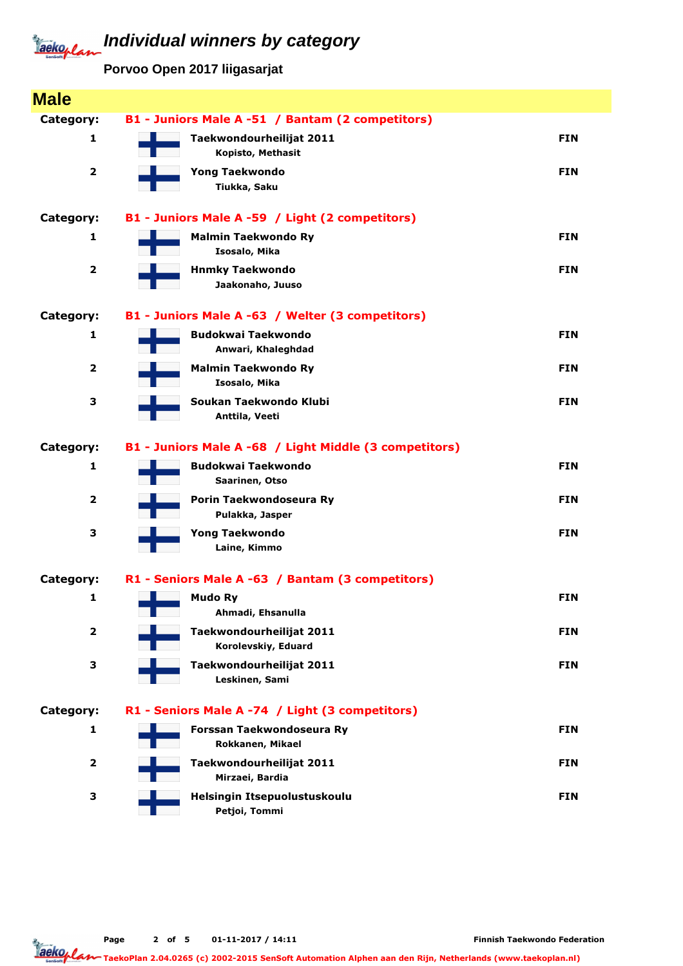## **Individual winners by category** Jackoplan

**Porvoo Open 2017 liigasarjat**

| <b>Male</b>             |                                                        |            |
|-------------------------|--------------------------------------------------------|------------|
| Category:               | B1 - Juniors Male A -51 / Bantam (2 competitors)       |            |
| 1                       | Taekwondourheilijat 2011                               | <b>FIN</b> |
|                         | Kopisto, Methasit                                      |            |
| $\overline{\mathbf{2}}$ | <b>Yong Taekwondo</b>                                  | <b>FIN</b> |
|                         | Tiukka, Saku                                           |            |
| Category:               | B1 - Juniors Male A -59 / Light (2 competitors)        |            |
| 1                       | <b>Malmin Taekwondo Ry</b>                             | <b>FIN</b> |
|                         | Isosalo, Mika                                          |            |
| $\overline{\mathbf{2}}$ | <b>Hnmky Taekwondo</b>                                 | <b>FIN</b> |
|                         | Jaakonaho, Juuso                                       |            |
| Category:               | B1 - Juniors Male A -63 / Welter (3 competitors)       |            |
| 1                       | <b>Budokwai Taekwondo</b>                              | <b>FIN</b> |
|                         | Anwari, Khaleghdad                                     |            |
| $\overline{\mathbf{2}}$ | <b>Malmin Taekwondo Ry</b>                             | <b>FIN</b> |
|                         | Isosalo, Mika<br>Soukan Taekwondo Klubi                |            |
| З                       | Anttila, Veeti                                         | <b>FIN</b> |
|                         |                                                        |            |
| Category:               | B1 - Juniors Male A -68 / Light Middle (3 competitors) |            |
| 1                       | <b>Budokwai Taekwondo</b>                              | <b>FIN</b> |
|                         | Saarinen, Otso                                         |            |
| $\overline{\mathbf{2}}$ | Porin Taekwondoseura Ry<br>Pulakka, Jasper             | <b>FIN</b> |
| 3                       | <b>Yong Taekwondo</b>                                  | <b>FIN</b> |
|                         | Laine, Kimmo                                           |            |
|                         |                                                        |            |
| Category:               | R1 - Seniors Male A -63 / Bantam (3 competitors)       |            |
| 1                       | <b>Mudo Ry</b>                                         | <b>FIN</b> |
|                         | Ahmadi, Ehsanulla                                      |            |
| $\mathbf{2}$            | Taekwondourheilijat 2011<br>Korolevskiy, Eduard        | <b>FIN</b> |
| З                       | Taekwondourheilijat 2011                               | <b>FIN</b> |
|                         | Leskinen, Sami                                         |            |
|                         |                                                        |            |
| Category:               | R1 - Seniors Male A -74 / Light (3 competitors)        |            |
| 1                       | Forssan Taekwondoseura Ry                              | <b>FIN</b> |
|                         | Rokkanen, Mikael                                       |            |
| $\overline{\mathbf{2}}$ | Taekwondourheilijat 2011<br>Mirzaei, Bardia            | <b>FIN</b> |
| З                       | Helsingin Itsepuolustuskoulu                           | <b>FIN</b> |
|                         | Petjoi, Tommi                                          |            |

Page 2 of 5 01-11-2017 / 14:11

Jackoplan TaekoPlan 2.04.0265 (c) 2002-2015 SenSoft Automation Alphen aan den Rijn, Netherlands (www.taekoplan.nl)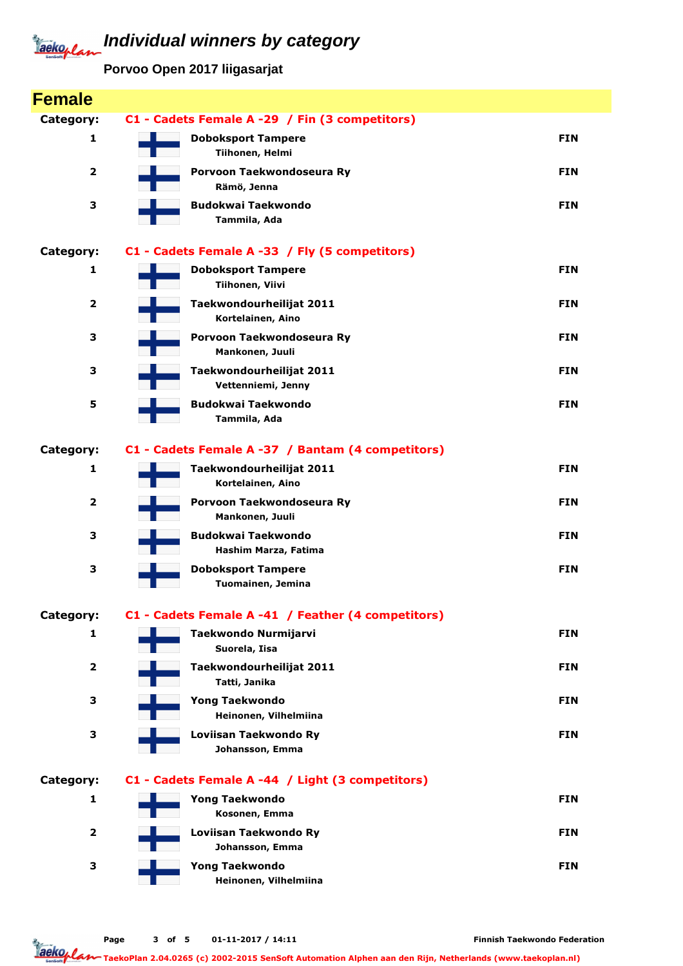## **Individual winners by category** Jackoplan

**Porvoo Open 2017 liigasarjat**

| <b>Female</b>           |                                                    |            |
|-------------------------|----------------------------------------------------|------------|
| Category:               | C1 - Cadets Female A -29 / Fin (3 competitors)     |            |
| 1                       | <b>Doboksport Tampere</b><br>Tiihonen, Helmi       | <b>FIN</b> |
| $\overline{\mathbf{2}}$ | Porvoon Taekwondoseura Ry<br>Rämö, Jenna           | <b>FIN</b> |
| з                       | <b>Budokwai Taekwondo</b><br>Tammila, Ada          | <b>FIN</b> |
| Category:               | C1 - Cadets Female A -33 / Fly (5 competitors)     |            |
| 1                       | <b>Doboksport Tampere</b><br>Tiihonen, Viivi       | <b>FIN</b> |
| $\overline{2}$          | Taekwondourheilijat 2011<br>Kortelainen, Aino      | <b>FIN</b> |
| 3                       | Porvoon Taekwondoseura Ry<br>Mankonen, Juuli       | <b>FIN</b> |
| з                       | Taekwondourheilijat 2011<br>Vettenniemi, Jenny     | <b>FIN</b> |
| 5                       | <b>Budokwai Taekwondo</b><br>Tammila, Ada          | <b>FIN</b> |
| Category:               | C1 - Cadets Female A -37 / Bantam (4 competitors)  |            |
| 1                       | Taekwondourheilijat 2011<br>Kortelainen, Aino      | <b>FIN</b> |
| $\overline{2}$          | Porvoon Taekwondoseura Ry<br>Mankonen, Juuli       | <b>FIN</b> |
| з                       | <b>Budokwai Taekwondo</b><br>Hashim Marza, Fatima  | <b>FIN</b> |
| з                       | <b>Doboksport Tampere</b><br>Tuomainen, Jemina     | <b>FIN</b> |
| Category:               | C1 - Cadets Female A -41 / Feather (4 competitors) |            |
| 1                       | Taekwondo Nurmijarvi<br>Suorela, Iisa              | <b>FIN</b> |
| $\overline{\mathbf{2}}$ | Taekwondourheilijat 2011<br>Tatti, Janika          | <b>FIN</b> |
| 3                       | <b>Yong Taekwondo</b><br>Heinonen, Vilhelmiina     | <b>FIN</b> |
| 3                       | Loviisan Taekwondo Ry<br>Johansson, Emma           | <b>FIN</b> |
| Category:               | C1 - Cadets Female A -44 / Light (3 competitors)   |            |
| 1                       | <b>Yong Taekwondo</b><br>Kosonen, Emma             | <b>FIN</b> |
| $\overline{\mathbf{2}}$ | Loviisan Taekwondo Ry<br>Johansson, Emma           | <b>FIN</b> |
| з                       | <b>Yong Taekwondo</b><br>Heinonen, Vilhelmiina     | <b>FIN</b> |
|                         |                                                    |            |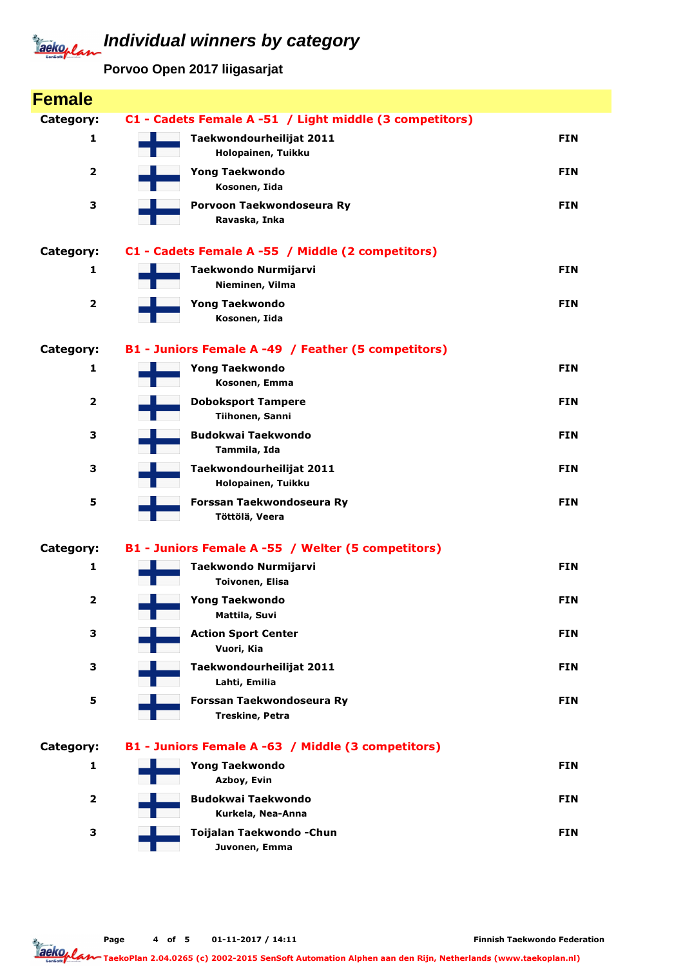# **Individual winners by category** Jackeplan

**Porvoo Open 2017 liigasarjat**

| <b>Female</b>           |                                                         |            |
|-------------------------|---------------------------------------------------------|------------|
| Category:               | C1 - Cadets Female A -51 / Light middle (3 competitors) |            |
| 1                       | Taekwondourheilijat 2011                                | <b>FIN</b> |
|                         | Holopainen, Tuikku                                      |            |
| $\overline{\mathbf{2}}$ | <b>Yong Taekwondo</b><br>Kosonen, Iida                  | <b>FIN</b> |
| 3                       | Porvoon Taekwondoseura Ry                               | <b>FIN</b> |
|                         | Ravaska, Inka                                           |            |
| Category:               | C1 - Cadets Female A -55 / Middle (2 competitors)       |            |
| 1                       | Taekwondo Nurmijarvi                                    | <b>FIN</b> |
|                         | Nieminen, Vilma                                         |            |
| $\overline{\mathbf{2}}$ | <b>Yong Taekwondo</b>                                   | <b>FIN</b> |
|                         | Kosonen, Iida                                           |            |
| Category:               | B1 - Juniors Female A -49 / Feather (5 competitors)     |            |
| $\mathbf{1}$            | <b>Yong Taekwondo</b>                                   | <b>FIN</b> |
|                         | Kosonen, Emma                                           |            |
| $\overline{\mathbf{2}}$ | <b>Doboksport Tampere</b><br>Tiihonen, Sanni            | <b>FIN</b> |
| з                       | <b>Budokwai Taekwondo</b>                               | <b>FIN</b> |
|                         | Tammila, Ida                                            |            |
| 3                       | Taekwondourheilijat 2011                                | <b>FIN</b> |
| 5                       | Holopainen, Tuikku<br>Forssan Taekwondoseura Ry         | <b>FIN</b> |
|                         | Töttölä, Veera                                          |            |
|                         |                                                         |            |
| Category:               | B1 - Juniors Female A -55 / Welter (5 competitors)      |            |
| 1                       | Taekwondo Nurmijarvi<br>Toivonen, Elisa                 | <b>FIN</b> |
| $\overline{\mathbf{2}}$ | <b>Yong Taekwondo</b>                                   | <b>FIN</b> |
|                         | Mattila, Suvi                                           |            |
| 3                       | <b>Action Sport Center</b>                              | <b>FIN</b> |
|                         | Vuori, Kia                                              |            |
| 3                       | Taekwondourheilijat 2011                                | <b>FIN</b> |
| 5                       | Lahti, Emilia<br>Forssan Taekwondoseura Ry              | <b>FIN</b> |
|                         | Treskine, Petra                                         |            |
| Category:               | B1 - Juniors Female A -63 / Middle (3 competitors)      |            |
| 1                       | <b>Yong Taekwondo</b>                                   | <b>FIN</b> |
|                         | Azboy, Evin                                             |            |
| $\overline{\mathbf{2}}$ | <b>Budokwai Taekwondo</b>                               | <b>FIN</b> |
|                         | Kurkela, Nea-Anna                                       |            |
| 3                       | Toijalan Taekwondo - Chun<br>Juvonen, Emma              | <b>FIN</b> |